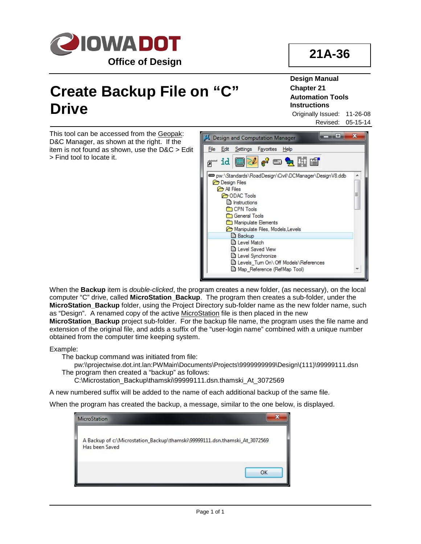

## **Create Backup File on "C" Drive**

**Design Manual Chapter 21 Automation Tools Instructions**

Originally Issued: 11-26-08 Revised: 05-15-14

This tool can be accessed from the Geopak: D&C Manager, as shown at the right. If the item is not found as shown, use the D&C > Edit > Find tool to locate it.



When the **Backup** item is *double-clicked*, the program creates a new folder, (as necessary), on the local computer "C" drive, called **MicroStation\_Backup**. The program then creates a sub-folder, under the **MicroStation\_Backup** folder, using the Project Directory sub-folder name as the new folder name, such as "Design". A renamed copy of the active MicroStation file is then placed in the new

**MicroStation\_Backup** project sub-folder. For the backup file name, the program uses the file name and extension of the original file, and adds a suffix of the "user-login name" combined with a unique number obtained from the computer time keeping system.

Example:

The backup command was initiated from file:

pw:\\projectwise.dot.int.lan:PWMain\Documents\Projects\9999999999\Design\(111)\99999111.dsn The program then created a "backup" as follows:

C:\Microstation\_Backup\thamski\99999111.dsn.thamski\_At\_3072569

A new numbered suffix will be added to the name of each additional backup of the same file.

When the program has created the backup, a message, similar to the one below, is displayed.

| <b>MicroStation</b>                                                                          |  |
|----------------------------------------------------------------------------------------------|--|
| A Backup of c:\Microstation_Backup\thamski\99999111.dsn.thamski_At_3072569<br>Has been Saved |  |
| OK                                                                                           |  |